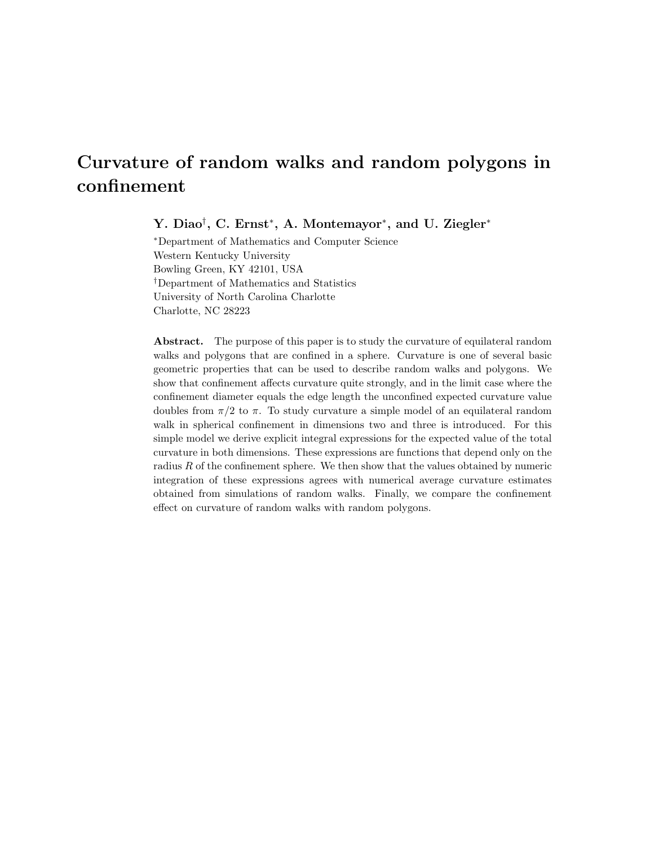# Curvature of random walks and random polygons in confinement

Y. Diao<sup>†</sup>, C. Ernst<sup>\*</sup>, A. Montemayor<sup>\*</sup>, and U. Ziegler<sup>\*</sup>

<sup>∗</sup>Department of Mathematics and Computer Science Western Kentucky University Bowling Green, KY 42101, USA †Department of Mathematics and Statistics University of North Carolina Charlotte Charlotte, NC 28223

Abstract. The purpose of this paper is to study the curvature of equilateral random walks and polygons that are confined in a sphere. Curvature is one of several basic geometric properties that can be used to describe random walks and polygons. We show that confinement affects curvature quite strongly, and in the limit case where the confinement diameter equals the edge length the unconfined expected curvature value doubles from  $\pi/2$  to  $\pi$ . To study curvature a simple model of an equilateral random walk in spherical confinement in dimensions two and three is introduced. For this simple model we derive explicit integral expressions for the expected value of the total curvature in both dimensions. These expressions are functions that depend only on the radius  $R$  of the confinement sphere. We then show that the values obtained by numeric integration of these expressions agrees with numerical average curvature estimates obtained from simulations of random walks. Finally, we compare the confinement effect on curvature of random walks with random polygons.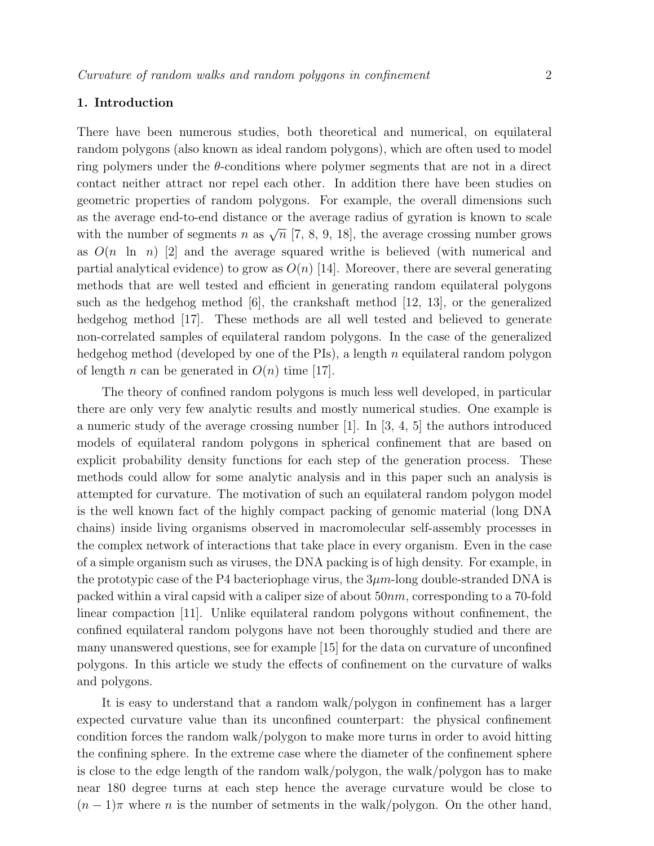## 1. Introduction

There have been numerous studies, both theoretical and numerical, on equilateral random polygons (also known as ideal random polygons), which are often used to model ring polymers under the  $\theta$ -conditions where polymer segments that are not in a direct contact neither attract nor repel each other. In addition there have been studies on geometric properties of random polygons. For example, the overall dimensions such as the average end-to-end distance or the average radius of gyration is known to scale with the number of segments n as  $\sqrt{n}$  [7, 8, 9, 18], the average crossing number grows as  $O(n \ln n)$  [2] and the average squared writhe is believed (with numerical and partial analytical evidence) to grow as  $O(n)$  [14]. Moreover, there are several generating methods that are well tested and efficient in generating random equilateral polygons such as the hedgehog method [6], the crankshaft method [12, 13], or the generalized hedgehog method [17]. These methods are all well tested and believed to generate non-correlated samples of equilateral random polygons. In the case of the generalized hedgehog method (developed by one of the PIs), a length n equilateral random polygon of length *n* can be generated in  $O(n)$  time [17].

The theory of confined random polygons is much less well developed, in particular there are only very few analytic results and mostly numerical studies. One example is a numeric study of the average crossing number [1]. In [3, 4, 5] the authors introduced models of equilateral random polygons in spherical confinement that are based on explicit probability density functions for each step of the generation process. These methods could allow for some analytic analysis and in this paper such an analysis is attempted for curvature. The motivation of such an equilateral random polygon model is the well known fact of the highly compact packing of genomic material (long DNA chains) inside living organisms observed in macromolecular self-assembly processes in the complex network of interactions that take place in every organism. Even in the case of a simple organism such as viruses, the DNA packing is of high density. For example, in the prototypic case of the P4 bacteriophage virus, the  $3\mu$ m-long double-stranded DNA is packed within a viral capsid with a caliper size of about  $50nm$ , corresponding to a 70-fold linear compaction [11]. Unlike equilateral random polygons without confinement, the confined equilateral random polygons have not been thoroughly studied and there are many unanswered questions, see for example [15] for the data on curvature of unconfined polygons. In this article we study the effects of confinement on the curvature of walks and polygons.

It is easy to understand that a random walk/polygon in confinement has a larger expected curvature value than its unconfined counterpart: the physical confinement condition forces the random walk/polygon to make more turns in order to avoid hitting the confining sphere. In the extreme case where the diameter of the confinement sphere is close to the edge length of the random walk/polygon, the walk/polygon has to make near 180 degree turns at each step hence the average curvature would be close to  $(n-1)\pi$  where n is the number of setments in the walk/polygon. On the other hand,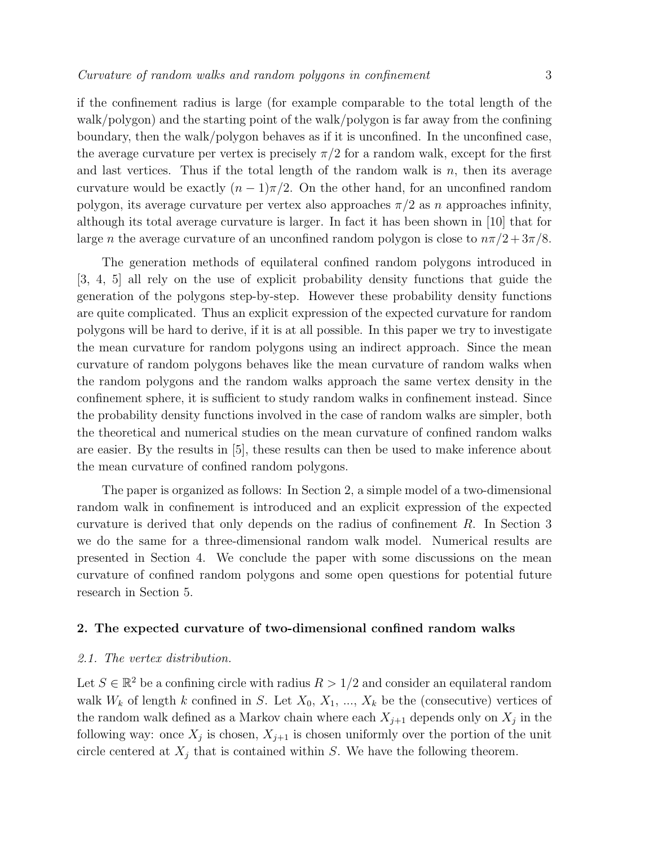if the confinement radius is large (for example comparable to the total length of the walk/polygon) and the starting point of the walk/polygon is far away from the confining boundary, then the walk/polygon behaves as if it is unconfined. In the unconfined case, the average curvature per vertex is precisely  $\pi/2$  for a random walk, except for the first and last vertices. Thus if the total length of the random walk is  $n$ , then its average curvature would be exactly  $(n-1)\pi/2$ . On the other hand, for an unconfined random polygon, its average curvature per vertex also approaches  $\pi/2$  as n approaches infinity, although its total average curvature is larger. In fact it has been shown in [10] that for large *n* the average curvature of an unconfined random polygon is close to  $n\pi/2 + 3\pi/8$ .

The generation methods of equilateral confined random polygons introduced in [3, 4, 5] all rely on the use of explicit probability density functions that guide the generation of the polygons step-by-step. However these probability density functions are quite complicated. Thus an explicit expression of the expected curvature for random polygons will be hard to derive, if it is at all possible. In this paper we try to investigate the mean curvature for random polygons using an indirect approach. Since the mean curvature of random polygons behaves like the mean curvature of random walks when the random polygons and the random walks approach the same vertex density in the confinement sphere, it is sufficient to study random walks in confinement instead. Since the probability density functions involved in the case of random walks are simpler, both the theoretical and numerical studies on the mean curvature of confined random walks are easier. By the results in [5], these results can then be used to make inference about the mean curvature of confined random polygons.

The paper is organized as follows: In Section 2, a simple model of a two-dimensional random walk in confinement is introduced and an explicit expression of the expected curvature is derived that only depends on the radius of confinement R. In Section 3 we do the same for a three-dimensional random walk model. Numerical results are presented in Section 4. We conclude the paper with some discussions on the mean curvature of confined random polygons and some open questions for potential future research in Section 5.

### 2. The expected curvature of two-dimensional confined random walks

## 2.1. The vertex distribution.

Let  $S \in \mathbb{R}^2$  be a confining circle with radius  $R > 1/2$  and consider an equilateral random walk  $W_k$  of length k confined in S. Let  $X_0, X_1, ..., X_k$  be the (consecutive) vertices of the random walk defined as a Markov chain where each  $X_{j+1}$  depends only on  $X_j$  in the following way: once  $X_j$  is chosen,  $X_{j+1}$  is chosen uniformly over the portion of the unit circle centered at  $X_j$  that is contained within S. We have the following theorem.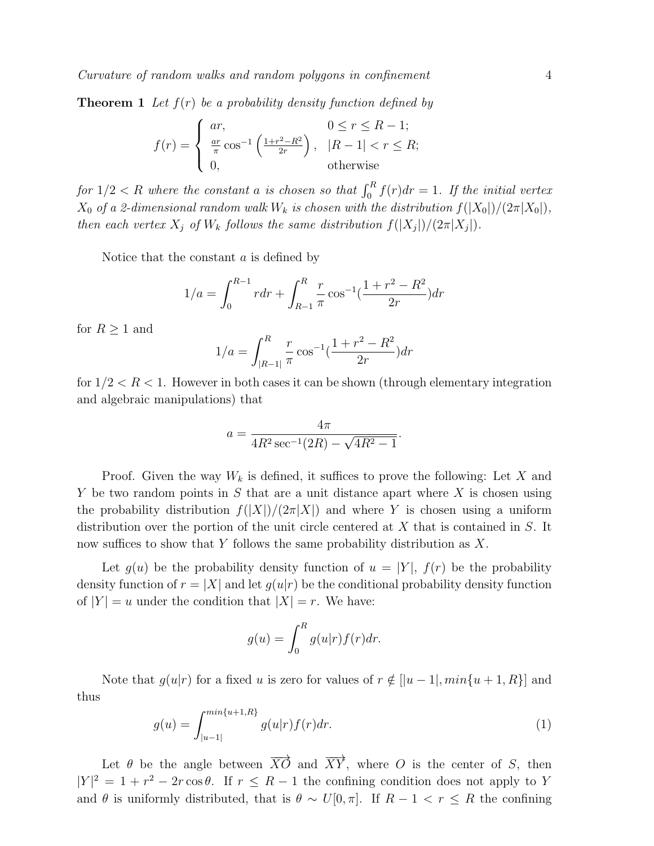**Theorem 1** Let  $f(r)$  be a probability density function defined by

$$
f(r) = \begin{cases} ar, & 0 \le r \le R - 1; \\ \frac{ar}{\pi} \cos^{-1} \left( \frac{1 + r^2 - R^2}{2r} \right), & |R - 1| < r \le R; \\ 0, & \text{otherwise} \end{cases}
$$

for  $1/2 < R$  where the constant a is chosen so that  $\int_0^R f(r) dr = 1$ . If the initial vertex  $X_0$  of a 2-dimensional random walk  $W_k$  is chosen with the distribution  $f(|X_0|)/(2\pi |X_0|)$ , then each vertex  $X_j$  of  $W_k$  follows the same distribution  $f(|X_j|)/(2\pi |X_j|)$ .

Notice that the constant  $a$  is defined by

$$
1/a = \int_0^{R-1} r dr + \int_{R-1}^R \frac{r}{\pi} \cos^{-1}(\frac{1+r^2 - R^2}{2r}) dr
$$

for  $R \geq 1$  and

$$
1/a = \int_{|R-1|}^{R} \frac{r}{\pi} \cos^{-1}(\frac{1+r^2 - R^2}{2r}) dr
$$

for  $1/2 < R < 1$ . However in both cases it can be shown (through elementary integration and algebraic manipulations) that

$$
a = \frac{4\pi}{4R^2 \sec^{-1}(2R) - \sqrt{4R^2 - 1}}.
$$

Proof. Given the way  $W_k$  is defined, it suffices to prove the following: Let X and Y be two random points in S that are a unit distance apart where  $X$  is chosen using the probability distribution  $f(|X|)/(2\pi|X|)$  and where Y is chosen using a uniform distribution over the portion of the unit circle centered at X that is contained in S. It now suffices to show that Y follows the same probability distribution as  $X$ .

Let  $g(u)$  be the probability density function of  $u = |Y|$ ,  $f(r)$  be the probability density function of  $r = |X|$  and let  $g(u|r)$  be the conditional probability density function of  $|Y| = u$  under the condition that  $|X| = r$ . We have:

$$
g(u) = \int_0^R g(u|r) f(r) dr.
$$

Note that  $g(u|r)$  for a fixed u is zero for values of  $r \notin [|u-1|, min\{u+1, R\}]$  and thus

$$
g(u) = \int_{|u-1|}^{\min\{u+1,R\}} g(u|r) f(r) dr.
$$
 (1)

Let  $\theta$  be the angle between  $\overrightarrow{XO}$  and  $\overrightarrow{XY}$ , where O is the center of S, then  $|Y|^2 = 1 + r^2 - 2r \cos \theta$ . If  $r \leq R-1$  the confining condition does not apply to Y and  $\theta$  is uniformly distributed, that is  $\theta \sim U[0, \pi]$ . If  $R - 1 < r \leq R$  the confining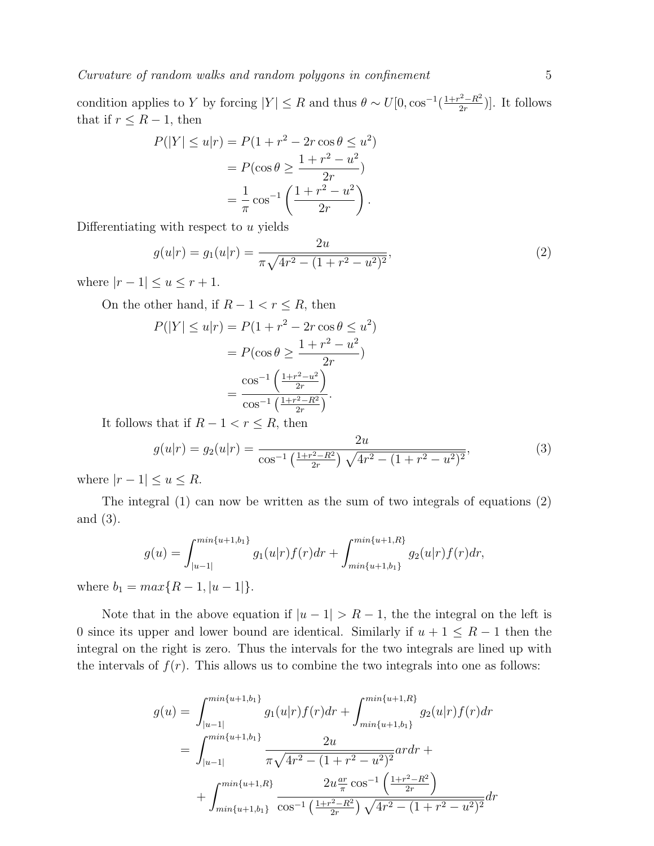condition applies to Y by forcing  $|Y| \leq R$  and thus  $\theta \sim U[0, \cos^{-1}(\frac{1+r^2-R^2}{2r})]$  $\frac{2-R^2}{2r}$ ). It follows that if  $r \leq R-1$ , then

$$
P(|Y| \le u|r) = P(1 + r^2 - 2r\cos\theta \le u^2)
$$

$$
= P(\cos\theta \ge \frac{1 + r^2 - u^2}{2r})
$$

$$
= \frac{1}{\pi}\cos^{-1}\left(\frac{1 + r^2 - u^2}{2r}\right).
$$

Differentiating with respect to  $u$  yields

$$
g(u|r) = g_1(u|r) = \frac{2u}{\pi\sqrt{4r^2 - (1+r^2 - u^2)^2}},
$$
\n(2)

where  $|r-1| \le u \le r+1$ .

On the other hand, if  $R - 1 < r \leq R$ , then

$$
P(|Y| \le u|r) = P(1 + r^2 - 2r\cos\theta \le u^2)
$$
  
=  $P(\cos\theta \ge \frac{1 + r^2 - u^2}{2r})$   
=  $\frac{\cos^{-1}\left(\frac{1 + r^2 - u^2}{2r}\right)}{\cos^{-1}\left(\frac{1 + r^2 - R^2}{2r}\right)}$ .

It follows that if  $R - 1 < r \leq R$ , then

$$
g(u|r) = g_2(u|r) = \frac{2u}{\cos^{-1}\left(\frac{1+r^2-R^2}{2r}\right)\sqrt{4r^2 - (1+r^2-u^2)^2}},\tag{3}
$$

where  $|r - 1| \le u \le R$ .

The integral (1) can now be written as the sum of two integrals of equations (2) and (3).

$$
g(u) = \int_{|u-1|}^{\min\{u+1,b_1\}} g_1(u|r) f(r) dr + \int_{\min\{u+1,b_1\}}^{\min\{u+1,R\}} g_2(u|r) f(r) dr,
$$
  
and  $R \to 1$ 

where  $b_1 = max\{R - 1, |u - 1|\}.$ 

Note that in the above equation if  $|u - 1| > R - 1$ , the the integral on the left is 0 since its upper and lower bound are identical. Similarly if  $u + 1 \leq R - 1$  then the integral on the right is zero. Thus the intervals for the two integrals are lined up with the intervals of  $f(r)$ . This allows us to combine the two integrals into one as follows:

$$
g(u) = \int_{|u-1|}^{\min\{u+1,b_1\}} g_1(u|r) f(r) dr + \int_{\min\{u+1,b_1\}}^{\min\{u+1,B\}} g_2(u|r) f(r) dr
$$
  
= 
$$
\int_{|u-1|}^{\min\{u+1,b_1\}} \frac{2u}{\pi \sqrt{4r^2 - (1+r^2-u^2)^2}} ar dr +
$$
  
+ 
$$
\int_{\min\{u+1,b_1\}}^{\min\{u+1,B\}} \frac{2u^{\frac{ar}{\pi}} \cos^{-1} \left(\frac{1+r^2-R^2}{2r}\right)}{\cos^{-1} \left(\frac{1+r^2-R^2}{2r}\right) \sqrt{4r^2 - (1+r^2-u^2)^2}} dr
$$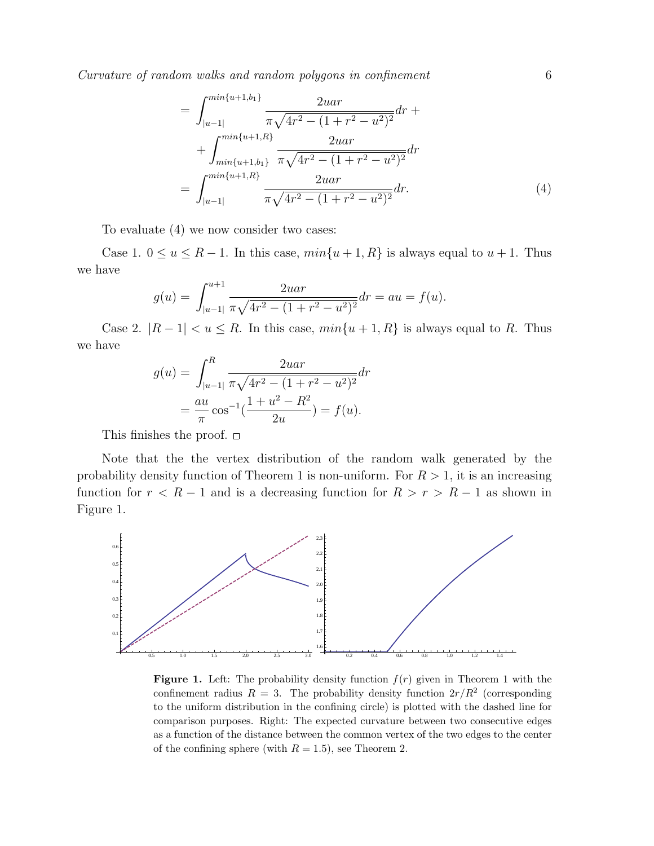Curvature of random walks and random polygons in confinement 6

$$
= \int_{|u-1|}^{\min\{u+1,b_1\}} \frac{2uar}{\pi \sqrt{4r^2 - (1+r^2 - u^2)^2}} dr + \int_{\min\{u+1,b_1\}}^{\min\{u+1,B\}} \frac{2uar}{\pi \sqrt{4r^2 - (1+r^2 - u^2)^2}} dr
$$

$$
= \int_{|u-1|}^{\min\{u+1,B\}} \frac{2uar}{\pi \sqrt{4r^2 - (1+r^2 - u^2)^2}} dr.
$$
(4)

To evaluate (4) we now consider two cases:

Case 1.  $0 \le u \le R - 1$ . In this case,  $min\{u + 1, R\}$  is always equal to  $u + 1$ . Thus we have

$$
g(u) = \int_{|u-1|}^{u+1} \frac{2u a r}{\pi \sqrt{4r^2 - (1 + r^2 - u^2)^2}} dr = au = f(u).
$$

Case 2.  $|R-1| < u \leq R$ . In this case,  $min\{u+1, R\}$  is always equal to R. Thus we have

$$
g(u) = \int_{|u-1|}^{R} \frac{2u a r}{\pi \sqrt{4r^2 - (1 + r^2 - u^2)^2}} dr
$$
  
=  $\frac{a u}{\pi} \cos^{-1}(\frac{1 + u^2 - R^2}{2u}) = f(u).$ 

This finishes the proof.  $\square$ 

Note that the the vertex distribution of the random walk generated by the probability density function of Theorem 1 is non-uniform. For  $R > 1$ , it is an increasing function for  $r < R - 1$  and is a decreasing function for  $R > r > R - 1$  as shown in Figure 1.



**Figure 1.** Left: The probability density function  $f(r)$  given in Theorem 1 with the confinement radius  $R = 3$ . The probability density function  $2r/R^2$  (corresponding to the uniform distribution in the confining circle) is plotted with the dashed line for comparison purposes. Right: The expected curvature between two consecutive edges as a function of the distance between the common vertex of the two edges to the center of the confining sphere (with  $R = 1.5$ ), see Theorem 2.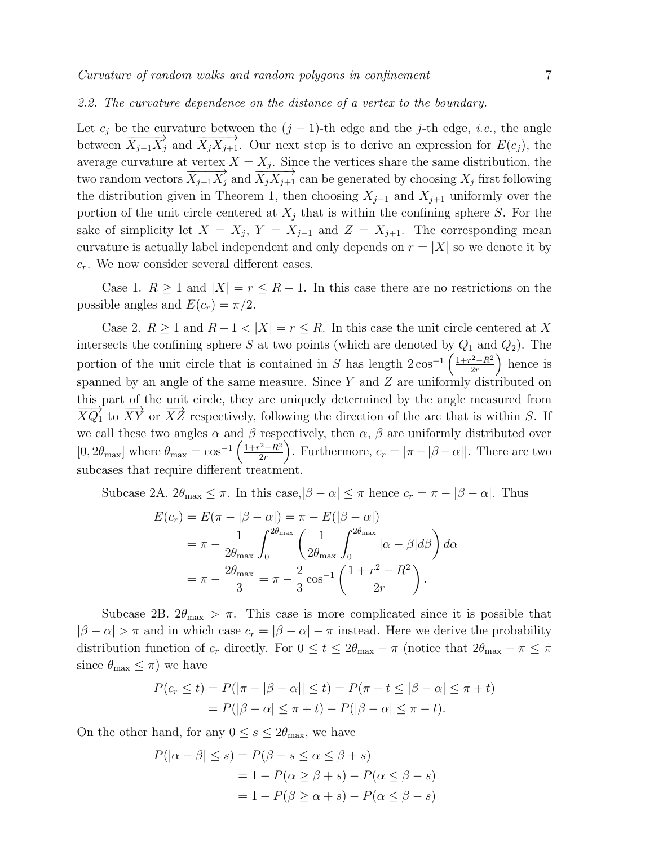#### 2.2. The curvature dependence on the distance of a vertex to the boundary.

Let  $c_j$  be the curvature between the  $(j-1)$ -th edge and the j-th edge, *i.e.*, the angle between  $\overrightarrow{X_{j-1}X_j}$  and  $\overrightarrow{X_jX_{j+1}}$ . Our next step is to derive an expression for  $E(c_j)$ , the average curvature at vertex  $X = X_j$ . Since the vertices share the same distribution, the two random vectors  $\overrightarrow{X_{j-1}X_j}$  and  $\overrightarrow{X_jX_{j+1}}$  can be generated by choosing  $X_j$  first following the distribution given in Theorem 1, then choosing  $X_{j-1}$  and  $X_{j+1}$  uniformly over the portion of the unit circle centered at  $X_j$  that is within the confining sphere S. For the sake of simplicity let  $X = X_j$ ,  $Y = X_{j-1}$  and  $Z = X_{j+1}$ . The corresponding mean curvature is actually label independent and only depends on  $r = |X|$  so we denote it by  $c_r$ . We now consider several different cases.

Case 1.  $R \ge 1$  and  $|X| = r \le R - 1$ . In this case there are no restrictions on the possible angles and  $E(c_r) = \pi/2$ .

Case 2.  $R \ge 1$  and  $R - 1 < |X| = r \le R$ . In this case the unit circle centered at X intersects the confining sphere S at two points (which are denoted by  $Q_1$  and  $Q_2$ ). The portion of the unit circle that is contained in S has length  $2\cos^{-1}\left(\frac{1+r^2-R^2}{2r}\right)$  $\frac{2-R^2}{2r}$  hence is spanned by an angle of the same measure. Since Y and Z are uniformly distributed on this part of the unit circle, they are uniquely determined by the angle measured from  $\overline{XQ_1}$  to  $\overline{XY}$  or  $\overline{XZ}$  respectively, following the direction of the arc that is within S. If we call these two angles  $\alpha$  and  $\beta$  respectively, then  $\alpha$ ,  $\beta$  are uniformly distributed over  $[0, 2\theta_{\text{max}}]$  where  $\theta_{\text{max}} = \cos^{-1}\left(\frac{1+r^2-R^2}{2r}\right)$  $\left(\frac{2-R^2}{2r}\right)$ . Furthermore,  $c_r = |\pi - |\beta - \alpha||$ . There are two subcases that require different treatment.

Subcase 2A.  $2\theta_{\text{max}} \leq \pi$ . In this case, $|\beta - \alpha| \leq \pi$  hence  $c_r = \pi - |\beta - \alpha|$ . Thus

$$
E(c_r) = E(\pi - |\beta - \alpha|) = \pi - E(|\beta - \alpha|)
$$
  
=  $\pi - \frac{1}{2\theta_{\text{max}}}\int_0^{2\theta_{\text{max}}}\left(\frac{1}{2\theta_{\text{max}}}\int_0^{2\theta_{\text{max}}}\left|\alpha - \beta|d\beta\right)d\alpha$   
=  $\pi - \frac{2\theta_{\text{max}}}{3} = \pi - \frac{2}{3}\cos^{-1}\left(\frac{1 + r^2 - R^2}{2r}\right).$ 

Subcase 2B.  $2\theta_{\text{max}} > \pi$ . This case is more complicated since it is possible that  $|\beta - \alpha| > \pi$  and in which case  $c_r = |\beta - \alpha| - \pi$  instead. Here we derive the probability distribution function of  $c_r$  directly. For  $0 \le t \le 2\theta_{\text{max}} - \pi$  (notice that  $2\theta_{\text{max}} - \pi \le \pi$ ) since  $\theta_{\text{max}} \leq \pi$ ) we have

$$
P(c_r \le t) = P(|\pi - |\beta - \alpha|| \le t) = P(\pi - t \le |\beta - \alpha| \le \pi + t)
$$
  
=  $P(|\beta - \alpha| \le \pi + t) - P(|\beta - \alpha| \le \pi - t).$ 

On the other hand, for any  $0 \leq s \leq 2\theta_{\text{max}}$ , we have

$$
P(|\alpha - \beta| \le s) = P(\beta - s \le \alpha \le \beta + s)
$$
  
= 1 - P(\alpha \ge \beta + s) - P(\alpha \le \beta - s)  
= 1 - P(\beta \ge \alpha + s) - P(\alpha \le \beta - s)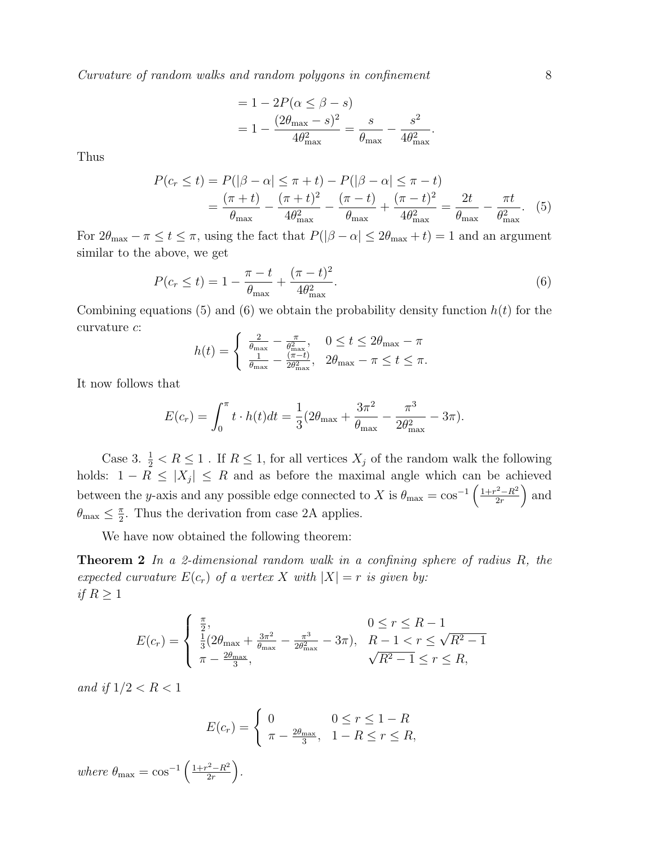Curvature of random walks and random polygons in confinement 8

$$
= 1 - 2P(\alpha \le \beta - s)
$$
  
=  $1 - \frac{(2\theta_{\text{max}} - s)^2}{4\theta_{\text{max}}^2} = \frac{s}{\theta_{\text{max}}} - \frac{s^2}{4\theta_{\text{max}}^2}.$ 

Thus

$$
P(c_r \le t) = P(|\beta - \alpha| \le \pi + t) - P(|\beta - \alpha| \le \pi - t)
$$
  
=  $\frac{(\pi + t)}{\theta_{\text{max}}} - \frac{(\pi + t)^2}{4\theta_{\text{max}}^2} - \frac{(\pi - t)}{\theta_{\text{max}}} + \frac{(\pi - t)^2}{4\theta_{\text{max}}^2} = \frac{2t}{\theta_{\text{max}}} - \frac{\pi t}{\theta_{\text{max}}^2}.$  (5)

For  $2\theta_{\text{max}} - \pi \le t \le \pi$ , using the fact that  $P(|\beta - \alpha| \le 2\theta_{\text{max}} + t) = 1$  and an argument similar to the above, we get

$$
P(c_r \le t) = 1 - \frac{\pi - t}{\theta_{\text{max}}} + \frac{(\pi - t)^2}{4\theta_{\text{max}}^2}.
$$
 (6)

Combining equations (5) and (6) we obtain the probability density function  $h(t)$  for the curvature  $c$ :

$$
h(t) = \begin{cases} \frac{2}{\theta_{\text{max}}} - \frac{\pi}{\theta_{\text{max}}^2}, & 0 \le t \le 2\theta_{\text{max}} - \pi\\ \frac{1}{\theta_{\text{max}}} - \frac{(\pi - t)}{2\theta_{\text{max}}^2}, & 2\theta_{\text{max}} - \pi \le t \le \pi. \end{cases}
$$

It now follows that

$$
E(c_r) = \int_0^{\pi} t \cdot h(t) dt = \frac{1}{3} (2\theta_{\text{max}} + \frac{3\pi^2}{\theta_{\text{max}}} - \frac{\pi^3}{2\theta_{\text{max}}^2} - 3\pi).
$$

Case 3.  $\frac{1}{2} < R \leq 1$ . If  $R \leq 1$ , for all vertices  $X_j$  of the random walk the following holds:  $1 - R \leq |X_j| \leq R$  and as before the maximal angle which can be achieved between the y-axis and any possible edge connected to X is  $\theta_{\text{max}} = \cos^{-1} \left( \frac{1 + r^2 - R^2}{2r} \right)$  $\frac{2-R^2}{2r}$  and  $\theta_{\text{max}} \leq \frac{\pi}{2}$  $\frac{\pi}{2}$ . Thus the derivation from case 2A applies.

We have now obtained the following theorem:

**Theorem 2** In a 2-dimensional random walk in a confining sphere of radius  $R$ , the expected curvature  $E(c_r)$  of a vertex X with  $|X| = r$  is given by: if  $R \geq 1$ 

$$
E(c_r) = \begin{cases} \frac{\pi}{2}, & 0 \le r \le R - 1\\ \frac{1}{3}(2\theta_{\text{max}} + \frac{3\pi^2}{\theta_{\text{max}}} - \frac{\pi^3}{2\theta_{\text{max}}^2} - 3\pi), & R - 1 < r \le \sqrt{R^2 - 1}\\ \pi - \frac{2\theta_{\text{max}}}{3}, & \sqrt{R^2 - 1} \le r \le R, \end{cases}
$$

and if  $1/2 < R < 1$ 

$$
E(c_r) = \begin{cases} 0 & 0 \le r \le 1 - R \\ \pi - \frac{2\theta_{\text{max}}}{3}, & 1 - R \le r \le R, \end{cases}
$$

where  $\theta_{\text{max}} = \cos^{-1} \left( \frac{1 + r^2 - R^2}{2r} \right)$  $rac{r^2-R^2}{2r}$ .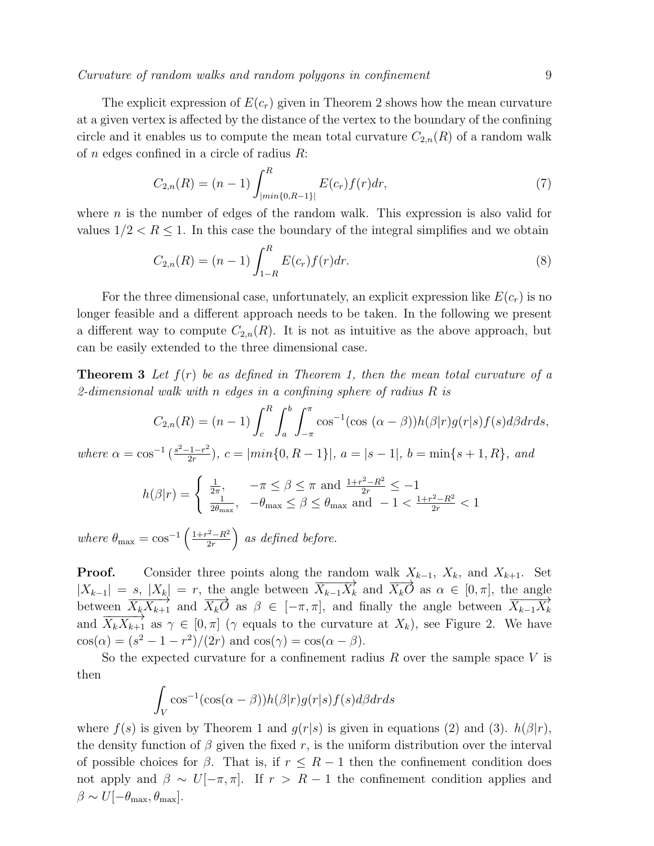Curvature of random walks and random polygons in confinement 9

The explicit expression of  $E(c_r)$  given in Theorem 2 shows how the mean curvature at a given vertex is affected by the distance of the vertex to the boundary of the confining circle and it enables us to compute the mean total curvature  $C_{2,n}(R)$  of a random walk of  $n$  edges confined in a circle of radius  $R$ :

$$
C_{2,n}(R) = (n-1) \int_{|\min\{0,R-1\}|}^{R} E(c_r) f(r) dr,
$$
\n(7)

where  $n$  is the number of edges of the random walk. This expression is also valid for values  $1/2 < R \leq 1$ . In this case the boundary of the integral simplifies and we obtain

$$
C_{2,n}(R) = (n-1) \int_{1-R}^{R} E(c_r) f(r) dr.
$$
 (8)

For the three dimensional case, unfortunately, an explicit expression like  $E(c_r)$  is no longer feasible and a different approach needs to be taken. In the following we present a different way to compute  $C_{2,n}(R)$ . It is not as intuitive as the above approach, but can be easily extended to the three dimensional case.

**Theorem 3** Let  $f(r)$  be as defined in Theorem 1, then the mean total curvature of a 2-dimensional walk with n edges in a confining sphere of radius  $R$  is

$$
C_{2,n}(R) = (n-1) \int_c^R \int_a^b \int_{-\pi}^{\pi} \cos^{-1}(\cos{(\alpha-\beta)}) h(\beta|r) g(r|s) f(s) d\beta dr ds,
$$

where  $\alpha = \cos^{-1} \left( \frac{s^2 - 1 - r^2}{2r} \right)$  $\left\{ \frac{a_{1}-r^{2}}{2r}\right\}$ ,  $c=\left\lfloor min\{0,R-1\}\right\rfloor$ ,  $a=\left\lfloor s-1\right\rfloor$ ,  $b=\min\{s+1,R\}$ , and

$$
h(\beta|r) = \begin{cases} \frac{1}{2\pi}, & -\pi \le \beta \le \pi \text{ and } \frac{1+r^2 - R^2}{2r} \le -1\\ \frac{1}{2\theta_{\text{max}}}, & -\theta_{\text{max}} \le \beta \le \theta_{\text{max}} \text{ and } -1 < \frac{1+r^2 - R^2}{2r} < 1 \end{cases}
$$

where  $\theta_{\text{max}} = \cos^{-1} \left( \frac{1 + r^2 - R^2}{2r} \right)$  $\left(\frac{2-R^2}{2r}\right)$  as defined before.

**Proof.** Consider three points along the random walk  $X_{k-1}$ ,  $X_k$ , and  $X_{k+1}$ . Set  $|X_{k-1}| = s$ ,  $|X_k| = r$ , the angle between  $\overrightarrow{X}_{k-1} \overrightarrow{X}_k$  and  $\overrightarrow{X_kO}$  as  $\alpha \in [0, \pi]$ , the angle between  $\overrightarrow{X_k X_{k+1}}$  and  $\overrightarrow{X_k O}$  as  $\beta \in [-\pi, \pi]$ , and finally the angle between  $\overrightarrow{X_{k-1} X_k}$ and  $\overline{X_k X_{k+1}}$  as  $\gamma \in [0, \pi]$  ( $\gamma$  equals to the curvature at  $X_k$ ), see Figure 2. We have  $\cos(\alpha) = (s^2 - 1 - r^2)/(2r)$  and  $\cos(\gamma) = \cos(\alpha - \beta)$ .

So the expected curvature for a confinement radius  $R$  over the sample space  $V$  is then

$$
\int_{V} \cos^{-1}(\cos(\alpha - \beta))h(\beta|r)g(r|s)f(s)d\beta dr ds
$$

where  $f(s)$  is given by Theorem 1 and  $g(r|s)$  is given in equations (2) and (3).  $h(\beta|r)$ , the density function of  $\beta$  given the fixed r, is the uniform distribution over the interval of possible choices for  $\beta$ . That is, if  $r \leq R-1$  then the confinement condition does not apply and  $\beta \sim U[-\pi, \pi]$ . If  $r > R-1$  the confinement condition applies and  $\beta \sim U[-\theta_{\text{max}}, \theta_{\text{max}}].$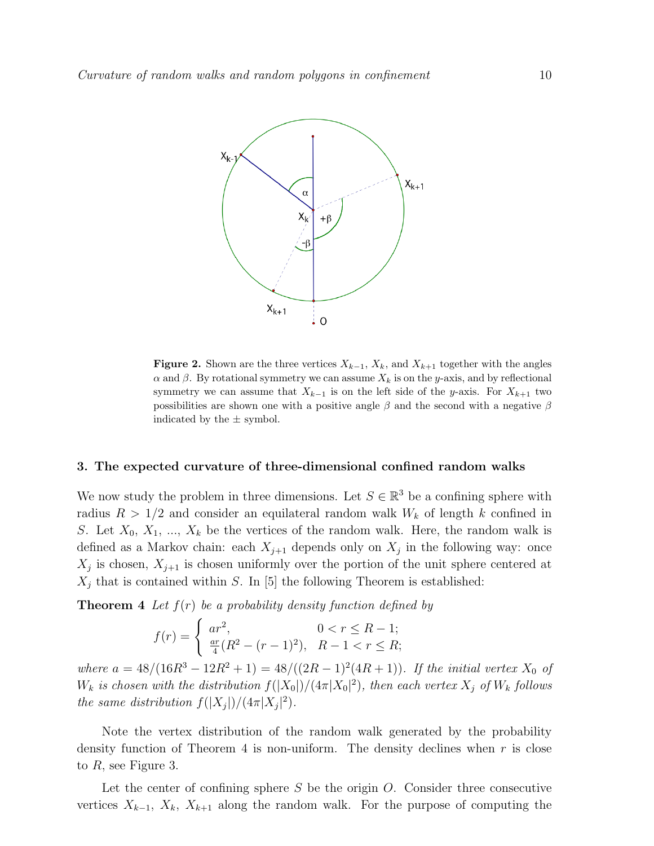

Figure 2. Shown are the three vertices  $X_{k-1}$ ,  $X_k$ , and  $X_{k+1}$  together with the angles  $\alpha$  and  $\beta$ . By rotational symmetry we can assume  $X_k$  is on the y-axis, and by reflectional symmetry we can assume that  $X_{k-1}$  is on the left side of the y-axis. For  $X_{k+1}$  two possibilities are shown one with a positive angle  $\beta$  and the second with a negative  $\beta$ indicated by the  $\pm$  symbol.

#### 3. The expected curvature of three-dimensional confined random walks

We now study the problem in three dimensions. Let  $S \in \mathbb{R}^3$  be a confining sphere with radius  $R > 1/2$  and consider an equilateral random walk  $W_k$  of length k confined in S. Let  $X_0, X_1, ..., X_k$  be the vertices of the random walk. Here, the random walk is defined as a Markov chain: each  $X_{j+1}$  depends only on  $X_j$  in the following way: once  $X_j$  is chosen,  $X_{j+1}$  is chosen uniformly over the portion of the unit sphere centered at  $X_j$  that is contained within S. In [5] the following Theorem is established:

**Theorem 4** Let  $f(r)$  be a probability density function defined by

$$
f(r) = \begin{cases} ar^2, & 0 < r \le R - 1; \\ \frac{ar}{4}(R^2 - (r - 1)^2), & R - 1 < r \le R; \end{cases}
$$

where  $a = 48/(16R^3 - 12R^2 + 1) = 48/((2R - 1)^2(4R + 1))$ . If the initial vertex  $X_0$  of  $W_k$  is chosen with the distribution  $f(|X_0|)/(4\pi |X_0|^2)$ , then each vertex  $X_j$  of  $W_k$  follows the same distribution  $f(|X_j|)/(4\pi |X_j|^2)$ .

Note the vertex distribution of the random walk generated by the probability density function of Theorem 4 is non-uniform. The density declines when  $r$  is close to R, see Figure 3.

Let the center of confining sphere  $S$  be the origin  $O$ . Consider three consecutive vertices  $X_{k-1}$ ,  $X_k$ ,  $X_{k+1}$  along the random walk. For the purpose of computing the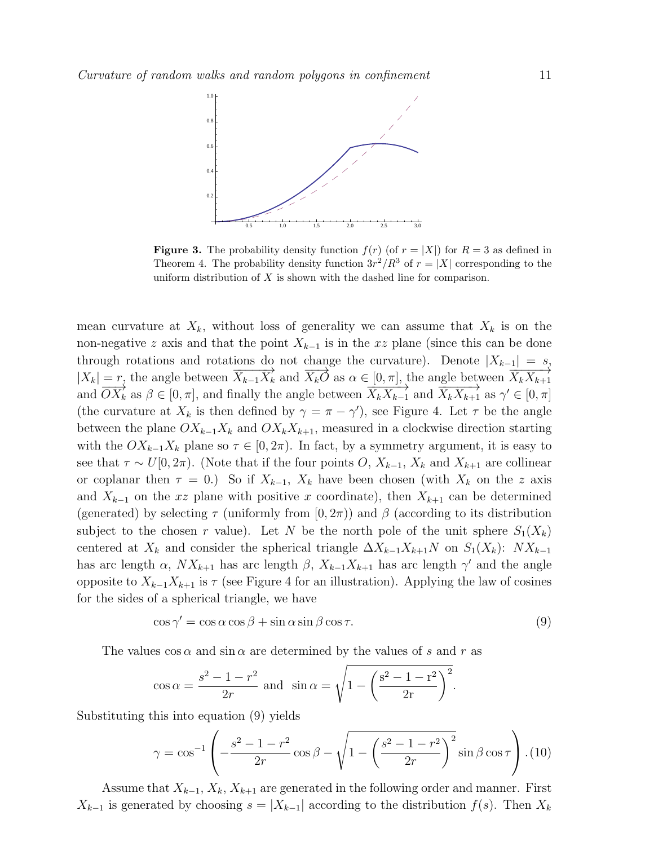

**Figure 3.** The probability density function  $f(r)$  (of  $r = |X|$ ) for  $R = 3$  as defined in Theorem 4. The probability density function  $3r^2/R^3$  of  $r = |X|$  corresponding to the uniform distribution of  $X$  is shown with the dashed line for comparison.

mean curvature at  $X_k$ , without loss of generality we can assume that  $X_k$  is on the non-negative z axis and that the point  $X_{k-1}$  is in the xz plane (since this can be done through rotations and rotations do not change the curvature). Denote  $|X_{k-1}| = s$ ,  $|X_k| = r$ , the angle between  $\overrightarrow{X_{k-1}X_k}$  and  $\overrightarrow{X_kO}$  as  $\alpha \in [0, \pi]$ , the angle between  $\overrightarrow{X_kX_{k+1}}$ and  $\overrightarrow{OX_k}$  as  $\beta \in [0, \pi]$ , and finally the angle between  $\overrightarrow{X_k X_{k-1}}$  and  $\overrightarrow{X_k X_{k+1}}$  as  $\gamma' \in [0, \pi]$ (the curvature at  $X_k$  is then defined by  $\gamma = \pi - \gamma'$ ), see Figure 4. Let  $\tau$  be the angle between the plane  $OX_{k-1}X_k$  and  $OX_kX_{k+1}$ , measured in a clockwise direction starting with the  $OX_{k-1}X_k$  plane so  $\tau \in [0, 2\pi)$ . In fact, by a symmetry argument, it is easy to see that  $\tau \sim U[0, 2\pi)$ . (Note that if the four points O,  $X_{k-1}$ ,  $X_k$  and  $X_{k+1}$  are collinear or coplanar then  $\tau = 0$ .) So if  $X_{k-1}$ ,  $X_k$  have been chosen (with  $X_k$  on the z axis and  $X_{k-1}$  on the xz plane with positive x coordinate), then  $X_{k+1}$  can be determined (generated) by selecting  $\tau$  (uniformly from  $[0, 2\pi)$ ) and  $\beta$  (according to its distribution subject to the chosen r value). Let N be the north pole of the unit sphere  $S_1(X_k)$ centered at  $X_k$  and consider the spherical triangle  $\Delta X_{k-1}X_{k+1}N$  on  $S_1(X_k)$ :  $NX_{k-1}$ has arc length  $\alpha$ ,  $NX_{k+1}$  has arc length  $\beta$ ,  $X_{k-1}X_{k+1}$  has arc length  $\gamma'$  and the angle opposite to  $X_{k-1}X_{k+1}$  is  $\tau$  (see Figure 4 for an illustration). Applying the law of cosines for the sides of a spherical triangle, we have

$$
\cos \gamma' = \cos \alpha \cos \beta + \sin \alpha \sin \beta \cos \tau.
$$
 (9)

The values  $\cos \alpha$  and  $\sin \alpha$  are determined by the values of s and r as

$$
\cos \alpha = \frac{s^2 - 1 - r^2}{2r}
$$
 and  $\sin \alpha = \sqrt{1 - \left(\frac{s^2 - 1 - r^2}{2r}\right)^2}$ .

Substituting this into equation (9) yields

$$
\gamma = \cos^{-1}\left(-\frac{s^2 - 1 - r^2}{2r}\cos\beta - \sqrt{1 - \left(\frac{s^2 - 1 - r^2}{2r}\right)^2}\sin\beta\cos\tau\right).
$$
(10)

Assume that  $X_{k-1}, X_k, X_{k+1}$  are generated in the following order and manner. First  $X_{k-1}$  is generated by choosing  $s = |X_{k-1}|$  according to the distribution  $f(s)$ . Then  $X_k$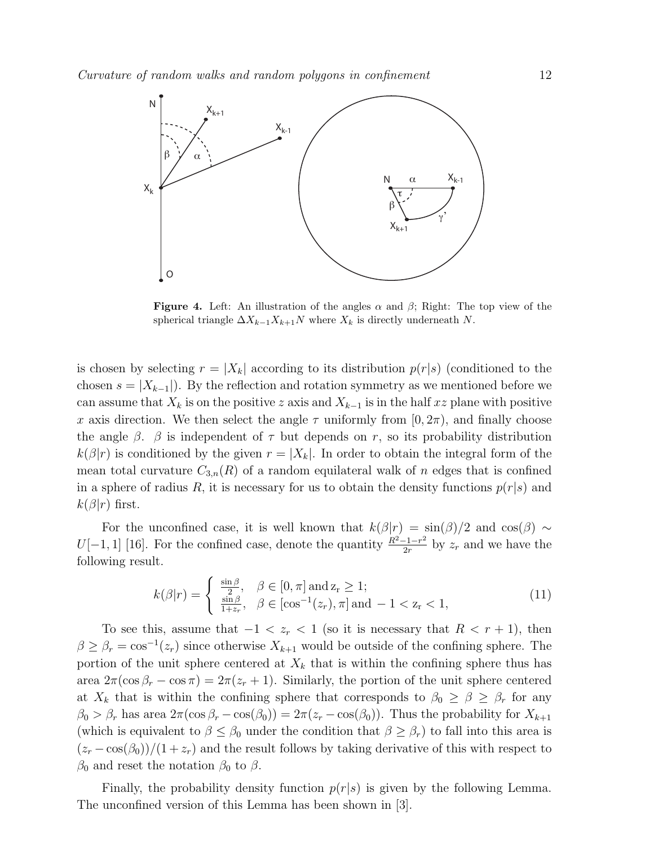

**Figure 4.** Left: An illustration of the angles  $\alpha$  and  $\beta$ ; Right: The top view of the spherical triangle  $\Delta X_{k-1}X_{k+1}N$  where  $X_k$  is directly underneath N.

is chosen by selecting  $r = |X_k|$  according to its distribution  $p(r|s)$  (conditioned to the chosen  $s = |X_{k-1}|$ . By the reflection and rotation symmetry as we mentioned before we can assume that  $X_k$  is on the positive z axis and  $X_{k-1}$  is in the half xz plane with positive x axis direction. We then select the angle  $\tau$  uniformly from  $[0, 2\pi)$ , and finally choose the angle  $\beta$ .  $\beta$  is independent of  $\tau$  but depends on r, so its probability distribution  $k(\beta|r)$  is conditioned by the given  $r = |X_k|$ . In order to obtain the integral form of the mean total curvature  $C_{3,n}(R)$  of a random equilateral walk of n edges that is confined in a sphere of radius R, it is necessary for us to obtain the density functions  $p(r|s)$  and  $k(\beta|r)$  first.

For the unconfined case, it is well known that  $k(\beta|r) = \sin(\beta)/2$  and  $\cos(\beta) \sim$ U[-1, 1] [16]. For the confined case, denote the quantity  $\frac{R^2-1-r^2}{2r}$  $\frac{-1-r^2}{2r}$  by  $z_r$  and we have the following result.

$$
k(\beta|r) = \begin{cases} \frac{\sin \beta}{2}, & \beta \in [0, \pi] \text{ and } z_r \ge 1;\\ \frac{\sin \beta}{1+z_r}, & \beta \in [\cos^{-1}(z_r), \pi] \text{ and } -1 < z_r < 1, \end{cases}
$$
(11)

To see this, assume that  $-1 < z_r < 1$  (so it is necessary that  $R < r + 1$ ), then  $\beta \geq \beta_r = \cos^{-1}(z_r)$  since otherwise  $X_{k+1}$  would be outside of the confining sphere. The portion of the unit sphere centered at  $X_k$  that is within the confining sphere thus has area  $2\pi(\cos\beta_r - \cos\pi) = 2\pi(z_r + 1)$ . Similarly, the portion of the unit sphere centered at  $X_k$  that is within the confining sphere that corresponds to  $\beta_0 \geq \beta \geq \beta_r$  for any  $\beta_0 > \beta_r$  has area  $2\pi(\cos \beta_r - \cos(\beta_0)) = 2\pi(z_r - \cos(\beta_0))$ . Thus the probability for  $X_{k+1}$ (which is equivalent to  $\beta \leq \beta_0$  under the condition that  $\beta \geq \beta_r$ ) to fall into this area is  $(z_r - \cos(\beta_0))/(1 + z_r)$  and the result follows by taking derivative of this with respect to  $\beta_0$  and reset the notation  $\beta_0$  to  $\beta$ .

Finally, the probability density function  $p(r|s)$  is given by the following Lemma. The unconfined version of this Lemma has been shown in [3].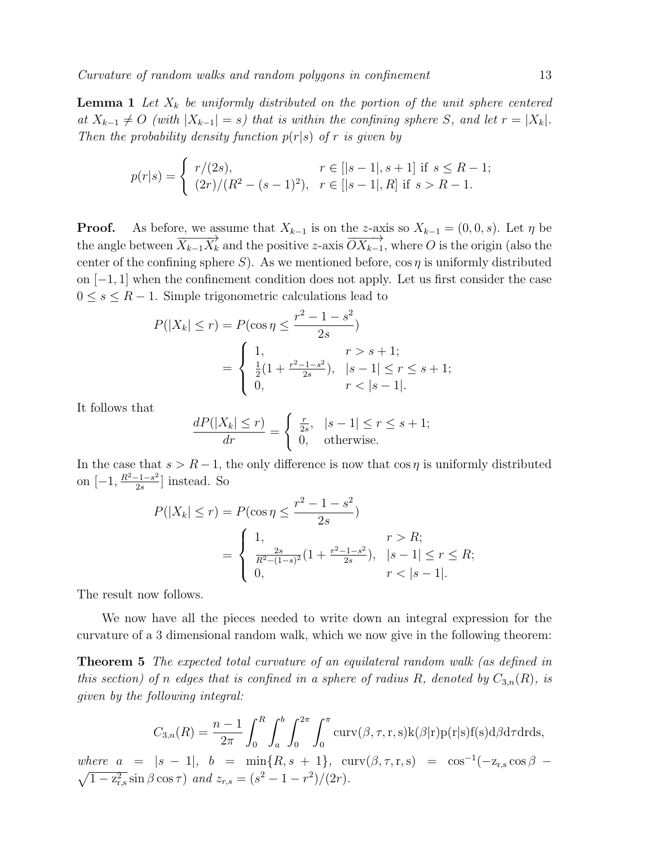**Lemma 1** Let  $X_k$  be uniformly distributed on the portion of the unit sphere centered at  $X_{k-1} \neq O$  (with  $|X_{k-1}| = s$ ) that is within the confining sphere S, and let  $r = |X_k|$ . Then the probability density function  $p(r|s)$  of r is given by

$$
p(r|s) = \begin{cases} r/(2s), & r \in [|s-1|, s+1] \text{ if } s \le R-1; \\ (2r)/(R^2 - (s-1)^2), & r \in [|s-1|, R] \text{ if } s > R-1. \end{cases}
$$

**Proof.** As before, we assume that  $X_{k-1}$  is on the z-axis so  $X_{k-1} = (0, 0, s)$ . Let  $\eta$  be the angle between  $\overrightarrow{X_{k-1}X_k}$  and the positive z-axis  $\overrightarrow{OX_{k-1}}$ , where O is the origin (also the center of the confining sphere S). As we mentioned before,  $\cos \eta$  is uniformly distributed on  $[-1, 1]$  when the confinement condition does not apply. Let us first consider the case  $0 \leq s \leq R-1$ . Simple trigonometric calculations lead to

$$
P(|X_k| \le r) = P(\cos \eta \le \frac{r^2 - 1 - s^2}{2s})
$$
  
= 
$$
\begin{cases} 1, & r > s + 1; \\ \frac{1}{2}(1 + \frac{r^2 - 1 - s^2}{2s}), & |s - 1| \le r \le s + 1; \\ 0, & r < |s - 1|. \end{cases}
$$

It follows that

$$
\frac{dP(|X_k| \le r)}{dr} = \begin{cases} \frac{r}{2s}, & |s - 1| \le r \le s + 1; \\ 0, & \text{otherwise.} \end{cases}
$$

In the case that  $s > R - 1$ , the only difference is now that cos  $\eta$  is uniformly distributed on  $[-1, \frac{R^2 - 1 - s^2}{2g}$  $\frac{-1-s^2}{2s}$ ] instead. So

$$
P(|X_k| \le r) = P(\cos \eta \le \frac{r^2 - 1 - s^2}{2s})
$$
  
= 
$$
\begin{cases} 1, & r > R; \\ \frac{2s}{R^2 - (1-s)^2} (1 + \frac{r^2 - 1 - s^2}{2s}), & |s - 1| \le r \le R; \\ 0, & r < |s - 1|. \end{cases}
$$

The result now follows.

We now have all the pieces needed to write down an integral expression for the curvature of a 3 dimensional random walk, which we now give in the following theorem:

Theorem 5 The expected total curvature of an equilateral random walk (as defined in this section) of n edges that is confined in a sphere of radius R, denoted by  $C_{3,n}(R)$ , is given by the following integral:

$$
C_{3,n}(R) = \frac{n-1}{2\pi} \int_0^R \int_a^b \int_0^{2\pi} \int_0^{\pi} \text{curv}(\beta, \tau, \mathbf{r}, \mathbf{s}) \mathbf{k}(\beta|\mathbf{r}) \mathbf{p}(\mathbf{r}|\mathbf{s}) \mathbf{f}(\mathbf{s}) d\beta d\tau d\mathbf{r} d\mathbf{s},
$$

where  $a = |s - 1|$ ,  $b = \min\{R, s + 1\}$ ,  $\text{curv}(\beta, \tau, r, s) = \cos^{-1}(-z_{r,s} \cos \beta \sqrt{1-z_{\rm r,s}^2}\sin\beta\cos\tau$  and  $z_{r,s}=(s^2-1-r^2)/(2r)$ .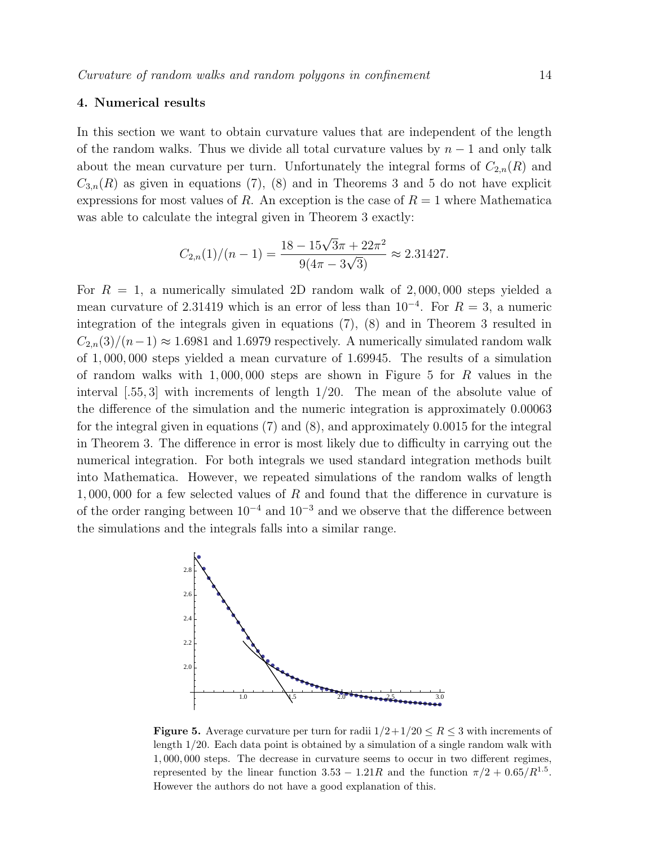#### 4. Numerical results

In this section we want to obtain curvature values that are independent of the length of the random walks. Thus we divide all total curvature values by  $n-1$  and only talk about the mean curvature per turn. Unfortunately the integral forms of  $C_{2,n}(R)$  and  $C_{3,n}(R)$  as given in equations (7), (8) and in Theorems 3 and 5 do not have explicit expressions for most values of R. An exception is the case of  $R = 1$  where Mathematica was able to calculate the integral given in Theorem 3 exactly:

$$
C_{2,n}(1)/(n-1) = \frac{18 - 15\sqrt{3}\pi + 22\pi^2}{9(4\pi - 3\sqrt{3})} \approx 2.31427.
$$

For  $R = 1$ , a numerically simulated 2D random walk of 2,000,000 steps yielded a mean curvature of 2.31419 which is an error of less than  $10^{-4}$ . For  $R = 3$ , a numeric integration of the integrals given in equations (7), (8) and in Theorem 3 resulted in  $C_{2n}(3)/(n-1) \approx 1.6981$  and 1.6979 respectively. A numerically simulated random walk of 1, 000, 000 steps yielded a mean curvature of 1.69945. The results of a simulation of random walks with  $1,000,000$  steps are shown in Figure 5 for R values in the interval  $[0.55, 3]$  with increments of length  $1/20$ . The mean of the absolute value of the difference of the simulation and the numeric integration is approximately 0.00063 for the integral given in equations (7) and (8), and approximately 0.0015 for the integral in Theorem 3. The difference in error is most likely due to difficulty in carrying out the numerical integration. For both integrals we used standard integration methods built into Mathematica. However, we repeated simulations of the random walks of length 1, 000, 000 for a few selected values of R and found that the difference in curvature is of the order ranging between  $10^{-4}$  and  $10^{-3}$  and we observe that the difference between the simulations and the integrals falls into a similar range.



**Figure 5.** Average curvature per turn for radii  $1/2+1/20 \le R \le 3$  with increments of length 1/20. Each data point is obtained by a simulation of a single random walk with 1, 000, 000 steps. The decrease in curvature seems to occur in two different regimes, represented by the linear function  $3.53 - 1.21R$  and the function  $\pi/2 + 0.65/R^{1.5}$ . However the authors do not have a good explanation of this.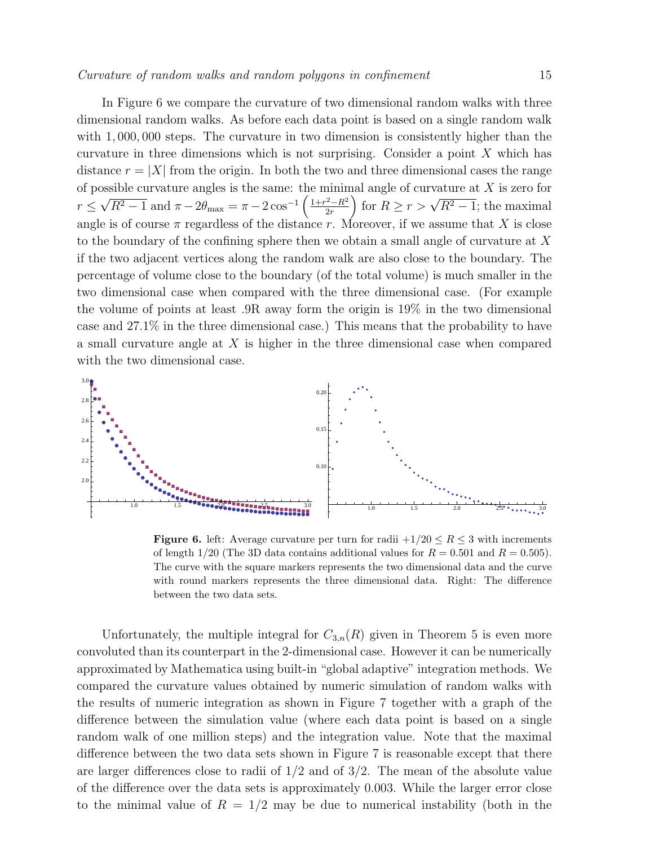In Figure 6 we compare the curvature of two dimensional random walks with three dimensional random walks. As before each data point is based on a single random walk with 1,000,000 steps. The curvature in two dimension is consistently higher than the curvature in three dimensions which is not surprising. Consider a point  $X$  which has distance  $r = |X|$  from the origin. In both the two and three dimensional cases the range of possible curvature angles is the same: the minimal angle of curvature at  $X$  is zero for  $r \leq$ יבי<br>∕  $\sqrt{R^2 - 1}$  and  $\pi - 2\theta_{\text{max}} = \pi - 2\cos^{-1}\left(\frac{1 + r^2 - R^2}{2r}\right)$  $\left(\frac{2-R^2}{2r}\right)$  for  $R \ge r > \sqrt{R^2-1}$ ; the maximal angle is of course  $\pi$  regardless of the distance r. Moreover, if we assume that X is close to the boundary of the confining sphere then we obtain a small angle of curvature at X if the two adjacent vertices along the random walk are also close to the boundary. The percentage of volume close to the boundary (of the total volume) is much smaller in the two dimensional case when compared with the three dimensional case. (For example the volume of points at least .9R away form the origin is 19% in the two dimensional case and 27.1% in the three dimensional case.) This means that the probability to have a small curvature angle at  $X$  is higher in the three dimensional case when compared with the two dimensional case.



**Figure 6.** left: Average curvature per turn for radii  $+1/20 \le R \le 3$  with increments of length  $1/20$  (The 3D data contains additional values for  $R = 0.501$  and  $R = 0.505$ ). The curve with the square markers represents the two dimensional data and the curve with round markers represents the three dimensional data. Right: The difference between the two data sets.

Unfortunately, the multiple integral for  $C_{3,n}(R)$  given in Theorem 5 is even more convoluted than its counterpart in the 2-dimensional case. However it can be numerically approximated by Mathematica using built-in "global adaptive" integration methods. We compared the curvature values obtained by numeric simulation of random walks with the results of numeric integration as shown in Figure 7 together with a graph of the difference between the simulation value (where each data point is based on a single random walk of one million steps) and the integration value. Note that the maximal difference between the two data sets shown in Figure 7 is reasonable except that there are larger differences close to radii of  $1/2$  and of  $3/2$ . The mean of the absolute value of the difference over the data sets is approximately 0.003. While the larger error close to the minimal value of  $R = 1/2$  may be due to numerical instability (both in the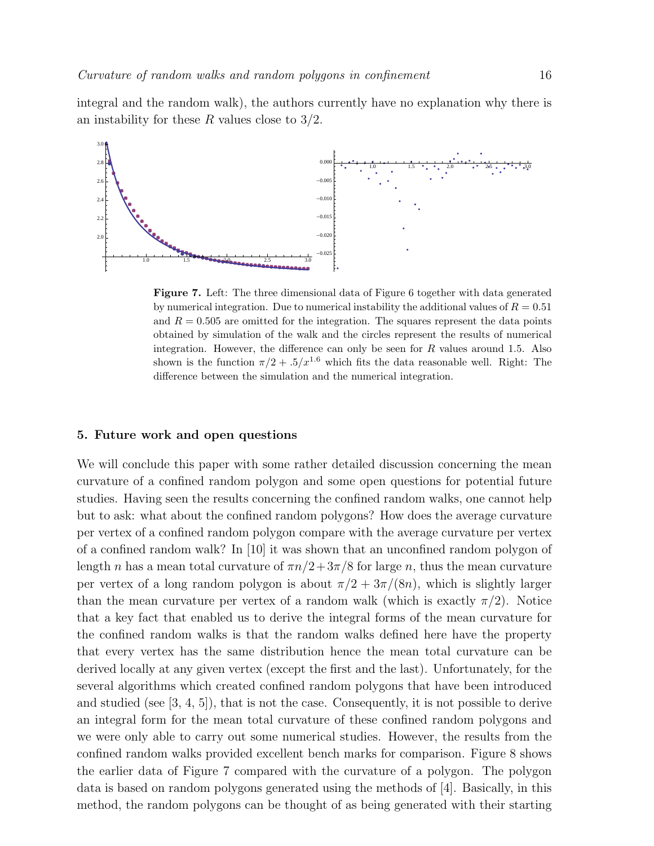integral and the random walk), the authors currently have no explanation why there is an instability for these R values close to  $3/2$ .



Figure 7. Left: The three dimensional data of Figure 6 together with data generated by numerical integration. Due to numerical instability the additional values of  $R = 0.51$ and  $R = 0.505$  are omitted for the integration. The squares represent the data points obtained by simulation of the walk and the circles represent the results of numerical integration. However, the difference can only be seen for  $R$  values around 1.5. Also shown is the function  $\pi/2 + 0.5/\mathrm{x}^{1.6}$  which fits the data reasonable well. Right: The difference between the simulation and the numerical integration.

#### 5. Future work and open questions

We will conclude this paper with some rather detailed discussion concerning the mean curvature of a confined random polygon and some open questions for potential future studies. Having seen the results concerning the confined random walks, one cannot help but to ask: what about the confined random polygons? How does the average curvature per vertex of a confined random polygon compare with the average curvature per vertex of a confined random walk? In [10] it was shown that an unconfined random polygon of length n has a mean total curvature of  $\pi n/2+3\pi/8$  for large n, thus the mean curvature per vertex of a long random polygon is about  $\pi/2 + 3\pi/(8n)$ , which is slightly larger than the mean curvature per vertex of a random walk (which is exactly  $\pi/2$ ). Notice that a key fact that enabled us to derive the integral forms of the mean curvature for the confined random walks is that the random walks defined here have the property that every vertex has the same distribution hence the mean total curvature can be derived locally at any given vertex (except the first and the last). Unfortunately, for the several algorithms which created confined random polygons that have been introduced and studied (see  $[3, 4, 5]$ ), that is not the case. Consequently, it is not possible to derive an integral form for the mean total curvature of these confined random polygons and we were only able to carry out some numerical studies. However, the results from the confined random walks provided excellent bench marks for comparison. Figure 8 shows the earlier data of Figure 7 compared with the curvature of a polygon. The polygon data is based on random polygons generated using the methods of [4]. Basically, in this method, the random polygons can be thought of as being generated with their starting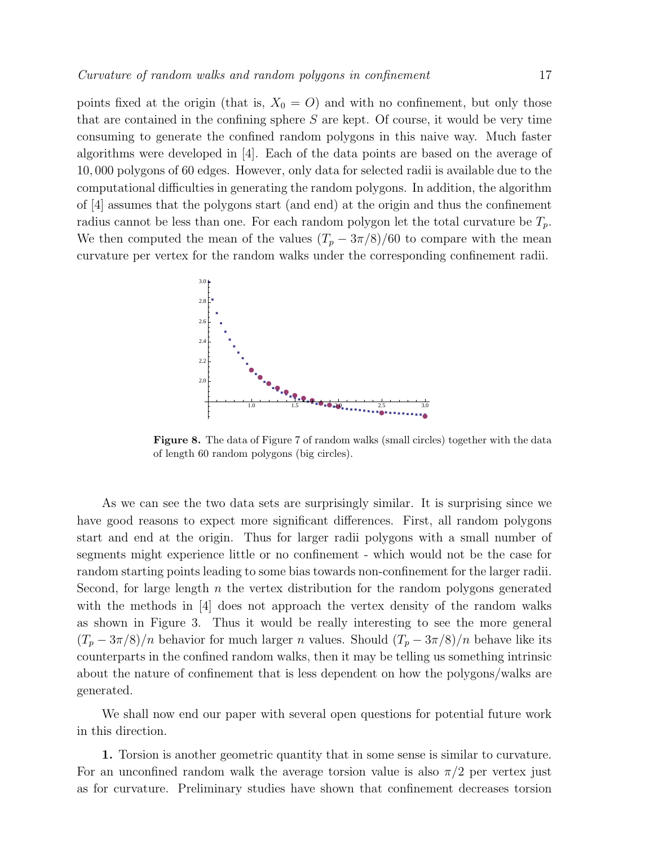points fixed at the origin (that is,  $X_0 = O$ ) and with no confinement, but only those that are contained in the confining sphere  $S$  are kept. Of course, it would be very time consuming to generate the confined random polygons in this naive way. Much faster algorithms were developed in [4]. Each of the data points are based on the average of 10, 000 polygons of 60 edges. However, only data for selected radii is available due to the computational difficulties in generating the random polygons. In addition, the algorithm of [4] assumes that the polygons start (and end) at the origin and thus the confinement radius cannot be less than one. For each random polygon let the total curvature be  $T_p$ . We then computed the mean of the values  $(T_p - 3\pi/8)/60$  to compare with the mean curvature per vertex for the random walks under the corresponding confinement radii.



Figure 8. The data of Figure 7 of random walks (small circles) together with the data of length 60 random polygons (big circles).

As we can see the two data sets are surprisingly similar. It is surprising since we have good reasons to expect more significant differences. First, all random polygons start and end at the origin. Thus for larger radii polygons with a small number of segments might experience little or no confinement - which would not be the case for random starting points leading to some bias towards non-confinement for the larger radii. Second, for large length  $n$  the vertex distribution for the random polygons generated with the methods in [4] does not approach the vertex density of the random walks as shown in Figure 3. Thus it would be really interesting to see the more general  $(T_p - 3\pi/8)/n$  behavior for much larger n values. Should  $(T_p - 3\pi/8)/n$  behave like its counterparts in the confined random walks, then it may be telling us something intrinsic about the nature of confinement that is less dependent on how the polygons/walks are generated.

We shall now end our paper with several open questions for potential future work in this direction.

1. Torsion is another geometric quantity that in some sense is similar to curvature. For an unconfined random walk the average torsion value is also  $\pi/2$  per vertex just as for curvature. Preliminary studies have shown that confinement decreases torsion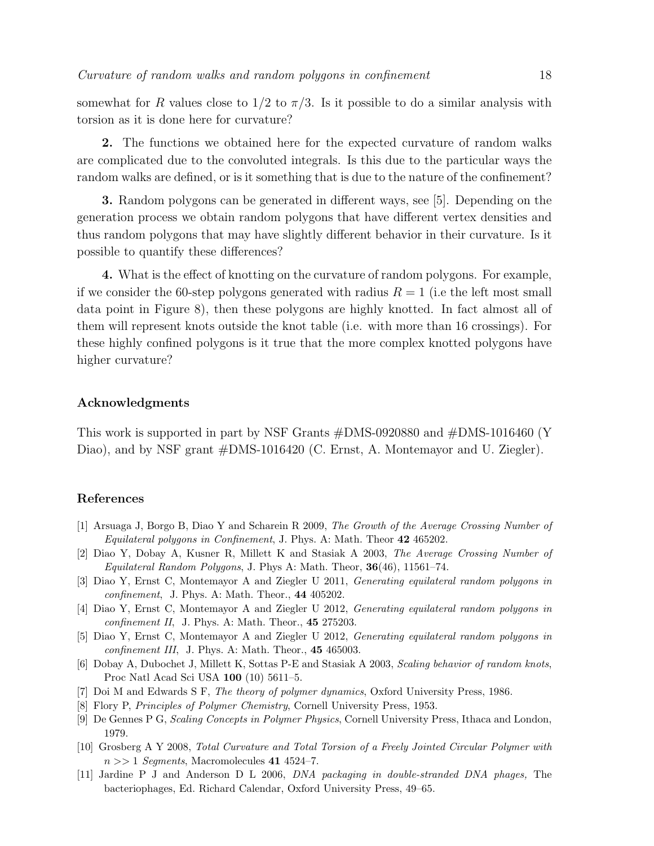somewhat for R values close to  $1/2$  to  $\pi/3$ . Is it possible to do a similar analysis with torsion as it is done here for curvature?

2. The functions we obtained here for the expected curvature of random walks are complicated due to the convoluted integrals. Is this due to the particular ways the random walks are defined, or is it something that is due to the nature of the confinement?

3. Random polygons can be generated in different ways, see [5]. Depending on the generation process we obtain random polygons that have different vertex densities and thus random polygons that may have slightly different behavior in their curvature. Is it possible to quantify these differences?

4. What is the effect of knotting on the curvature of random polygons. For example, if we consider the 60-step polygons generated with radius  $R = 1$  (i.e the left most small data point in Figure 8), then these polygons are highly knotted. In fact almost all of them will represent knots outside the knot table (i.e. with more than 16 crossings). For these highly confined polygons is it true that the more complex knotted polygons have higher curvature?

#### Acknowledgments

This work is supported in part by NSF Grants #DMS-0920880 and #DMS-1016460 (Y Diao), and by NSF grant  $#DMS-1016420$  (C. Ernst, A. Montemayor and U. Ziegler).

#### References

- [1] Arsuaga J, Borgo B, Diao Y and Scharein R 2009, The Growth of the Average Crossing Number of Equilateral polygons in Confinement, J. Phys. A: Math. Theor 42 465202.
- [2] Diao Y, Dobay A, Kusner R, Millett K and Stasiak A 2003, The Average Crossing Number of Equilateral Random Polygons, J. Phys A: Math. Theor,  $36(46)$ , 11561–74.
- [3] Diao Y, Ernst C, Montemayor A and Ziegler U 2011, Generating equilateral random polygons in confinement, J. Phys. A: Math. Theor., 44 405202.
- [4] Diao Y, Ernst C, Montemayor A and Ziegler U 2012, Generating equilateral random polygons in confinement II, J. Phys. A: Math. Theor.,  $45\,275203$ .
- [5] Diao Y, Ernst C, Montemayor A and Ziegler U 2012, Generating equilateral random polygons in confinement III, J. Phys. A: Math. Theor., 45 465003.
- [6] Dobay A, Dubochet J, Millett K, Sottas P-E and Stasiak A 2003, Scaling behavior of random knots, Proc Natl Acad Sci USA 100 (10) 5611–5.
- [7] Doi M and Edwards S F, The theory of polymer dynamics, Oxford University Press, 1986.
- [8] Flory P, Principles of Polymer Chemistry, Cornell University Press, 1953.
- [9] De Gennes P G, Scaling Concepts in Polymer Physics, Cornell University Press, Ithaca and London, 1979.
- [10] Grosberg A Y 2008, Total Curvature and Total Torsion of a Freely Jointed Circular Polymer with  $n >> 1$  Segments, Macromolecules 41 4524–7.
- [11] Jardine P J and Anderson D L 2006, DNA packaging in double-stranded DNA phages, The bacteriophages, Ed. Richard Calendar, Oxford University Press, 49–65.